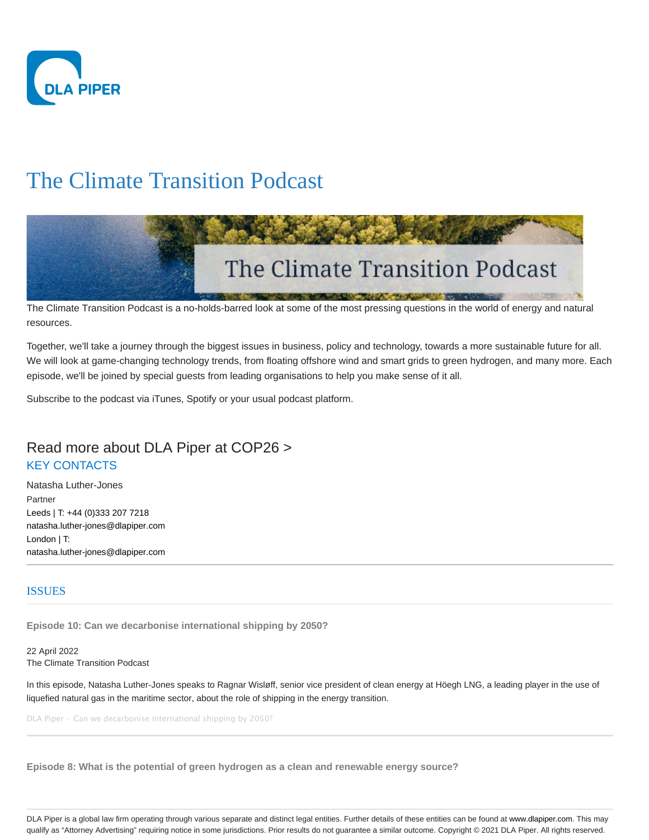

# The Climate Transition Podcast



The Climate Transition Podcast is a no-holds-barred look at some of the most pressing questions in the world of energy and natural resources.

Together, we'll take a journey through the biggest issues in business, policy and technology, towards a more sustainable future for all. We will look at game-changing technology trends, from floating offshore wind and smart grids to green hydrogen, and many more. Each episode, we'll be joined by special guests from leading organisations to help you make sense of it all.

Subscribe to the podcast via iTunes, Spotify or your usual podcast platform.

# Read more about DLA Piper at COP26 > KEY CONTACTS

Natasha Luther-Jones Partner Leeds | T: +44 (0)333 207 7218 natasha.luther-jones@dlapiper.com London | T: natasha.luther-jones@dlapiper.com

## ISSUES

**Episode 10: Can we decarbonise international shipping by 2050?**

22 April 2022 The Climate Transition Podcast

In this episode, Natasha Luther-Jones speaks to Ragnar Wisløff, senior vice president of clean energy at Höegh LNG, a leading player in the use of liquefied natural gas in the maritime sector, about the role of shipping in the energy transition.

DLA Piper · Can we decarbonise international shipping by 2050?

**Episode 8: What is the potential of green hydrogen as a clean and renewable energy source?**

DLA Piper is a global law firm operating through various separate and distinct legal entities. Further details of these entities can be found at www.dlapiper.com. This may qualify as "Attorney Advertising" requiring notice in some jurisdictions. Prior results do not guarantee a similar outcome. Copyright @ 2021 DLA Piper. All rights reserved.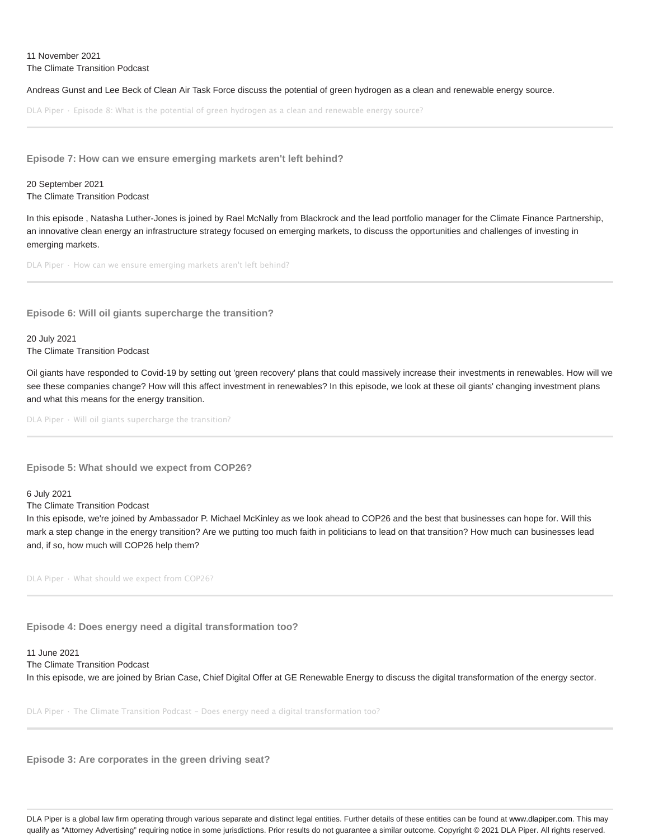#### 11 November 2021 The Climate Transition Podcast

Andreas Gunst and Lee Beck of Clean Air Task Force discuss the potential of green hydrogen as a clean and renewable energy source.

DLA Piper · Episode 8: What is the potential of green hydrogen as a clean and renewable energy source?

**Episode 7: How can we ensure emerging markets aren't left behind?**

20 September 2021 The Climate Transition Podcast

In this episode , Natasha Luther-Jones is joined by Rael McNally from Blackrock and the lead portfolio manager for the Climate Finance Partnership, an innovative clean energy an infrastructure strategy focused on emerging markets, to discuss the opportunities and challenges of investing in emerging markets.

DLA Piper · How can we ensure emerging markets aren't left behind?

**Episode 6: Will oil giants supercharge the transition?**

20 July 2021 The Climate Transition Podcast

Oil giants have responded to Covid-19 by setting out 'green recovery' plans that could massively increase their investments in renewables. How will we see these companies change? How will this affect investment in renewables? In this episode, we look at these oil giants' changing investment plans and what this means for the energy transition.

DLA Piper · Will oil giants supercharge the transition?

**Episode 5: What should we expect from COP26?**

6 July 2021

The Climate Transition Podcast

In this episode, we're joined by Ambassador P. Michael McKinley as we look ahead to COP26 and the best that businesses can hope for. Will this mark a step change in the energy transition? Are we putting too much faith in politicians to lead on that transition? How much can businesses lead and, if so, how much will COP26 help them?

DLA Piper · What should we expect from COP26?

**Episode 4: Does energy need a digital transformation too?**

11 June 2021 The Climate Transition Podcast In this episode, we are joined by Brian Case, Chief Digital Offer at GE Renewable Energy to discuss the digital transformation of the energy sector.

DLA Piper · The Climate Transition Podcast - Does energy need a digital transformation too?

**Episode 3: Are corporates in the green driving seat?**

DLA Piper is a global law firm operating through various separate and distinct legal entities. Further details of these entities can be found at www.dlapiper.com. This may qualify as "Attorney Advertising" requiring notice in some jurisdictions. Prior results do not guarantee a similar outcome. Copyright © 2021 DLA Piper. All rights reserved.